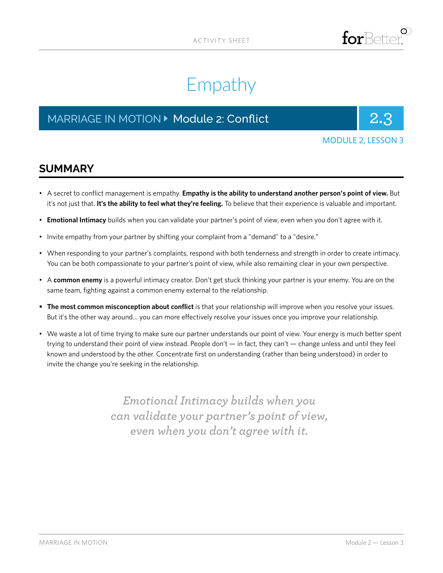

# Empathy

# MARRIAGE IN MOTION **Department 2: Conflict** 2.3



### MODULE 2, LESSON 3

## **SUMMARY**

- A secret to conflict management is empathy. **Empathy is the ability to understand another person's point of view.** But it's not just that. **It's the ability to feel what they're feeling.** To believe that their experience is valuable and important.
- **Emotional Intimacy** builds when you can validate your partner's point of view, even when you don't agree with it.
- Invite empathy from your partner by shifting your complaint from a "demand" to a "desire."
- When responding to your partner's complaints, respond with both tenderness and strength in order to create intimacy. You can be both compassionate to your partner's point of view, while also remaining clear in your own perspective.
- A **common enemy** is a powerful intimacy creator. Don't get stuck thinking your partner is your enemy. You are on the same team, fighting against a common enemy external to the relationship.
- **• The most common misconception about conflict** is that your relationship will improve when you resolve your issues. But it's the other way around… you can more effectively resolve your issues once you improve your relationship.
- We waste a lot of time trying to make sure our partner understands our point of view. Your energy is much better spent trying to understand their point of view instead. People don't — in fact, they can't — change unless and until they feel known and understood by the other. Concentrate first on understanding (rather than being understood) in order to invite the change you're seeking in the relationship.

*Emotional Intimacy builds when you can validate your partner's point of view, even when you don't agree with it.*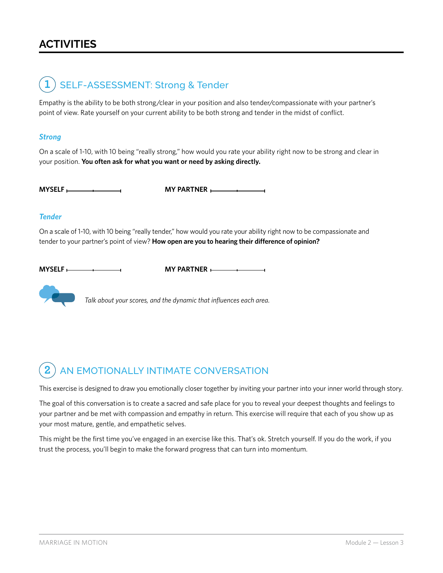# **ACTIVITIES**



Empathy is the ability to be both strong/clear in your position and also tender/compassionate with your partner's point of view. Rate yourself on your current ability to be both strong and tender in the midst of conflict.

#### *Strong*

On a scale of 1-10, with 10 being "really strong," how would you rate your ability right now to be strong and clear in your position. **You often ask for what you want or need by asking directly.**

**MYSELF MY PARTNER** 

#### *Tender*

On a scale of 1-10, with 10 being "really tender," how would you rate your ability right now to be compassionate and tender to your partner's point of view? **How open are you to hearing their difference of opinion?**

**MYSELF**  $\longleftarrow$  **MY PARTNER**  $\longleftarrow$ 



*Talk about your scores, and the dynamic that influences each area.*

#### AN EMOTIONALLY INTIMATE CONVERSATION **2**

This exercise is designed to draw you emotionally closer together by inviting your partner into your inner world through story.

The goal of this conversation is to create a sacred and safe place for you to reveal your deepest thoughts and feelings to your partner and be met with compassion and empathy in return. This exercise will require that each of you show up as your most mature, gentle, and empathetic selves.

This might be the first time you've engaged in an exercise like this. That's ok. Stretch yourself. If you do the work, if you trust the process, you'll begin to make the forward progress that can turn into momentum.